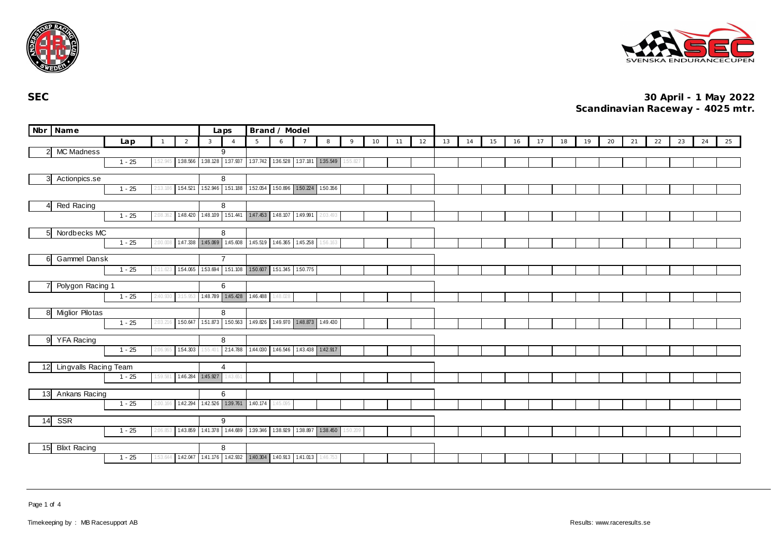



|                | Nbr Name                 |          |          |                |                   | Laps                    | Brand / Model                                           |          |  |                            |          |    |    |    |    |    |    |    |    |    |    |    |    |    |    |    |    |
|----------------|--------------------------|----------|----------|----------------|-------------------|-------------------------|---------------------------------------------------------|----------|--|----------------------------|----------|----|----|----|----|----|----|----|----|----|----|----|----|----|----|----|----|
|                |                          | Lap      |          | $\overline{2}$ | $\mathbf{3}$      | $\overline{4}$          | 5                                                       | 6        |  | 8                          | 9        | 10 | 11 | 12 | 13 | 14 | 15 | 16 | 17 | 18 | 19 | 20 | 21 | 22 | 23 | 24 | 25 |
|                | 2 MC Madness             |          |          |                |                   | 9                       |                                                         |          |  |                            |          |    |    |    |    |    |    |    |    |    |    |    |    |    |    |    |    |
|                |                          | $1 - 25$ |          | 1:38.566       |                   |                         | 138.128 137.937 137.742 136.528 137.181 135.549         |          |  |                            | 1:55.827 |    |    |    |    |    |    |    |    |    |    |    |    |    |    |    |    |
|                | 3 Actionpics.se          |          |          |                |                   | 8                       |                                                         |          |  |                            |          |    |    |    |    |    |    |    |    |    |    |    |    |    |    |    |    |
|                |                          | $1 - 25$ |          |                |                   |                         | 154.521 152.946 151.188 152.054 150.896 150.224 150.356 |          |  |                            |          |    |    |    |    |    |    |    |    |    |    |    |    |    |    |    |    |
|                | Red Racing               |          |          |                |                   | 8                       |                                                         |          |  |                            |          |    |    |    |    |    |    |    |    |    |    |    |    |    |    |    |    |
|                |                          | $1 - 25$ | 2:08.    |                |                   |                         | 1.48.420 1.48.109 1.51.441 1.47.453 1.48.107 1.49.991   |          |  | 2:03.493                   |          |    |    |    |    |    |    |    |    |    |    |    |    |    |    |    |    |
| 5 <sup>1</sup> | Nordbecks MC             |          |          |                |                   | 8                       |                                                         |          |  |                            |          |    |    |    |    |    |    |    |    |    |    |    |    |    |    |    |    |
|                |                          | $1 - 25$ | 2:00.008 |                |                   |                         | 1.47.338 1.45.069 1.45.608 1.45.519 1.46.365 1.45.258   |          |  | 1:56.163                   |          |    |    |    |    |    |    |    |    |    |    |    |    |    |    |    |    |
| 61             | Gammel Dansk             |          |          |                |                   | $\overline{7}$          |                                                         |          |  |                            |          |    |    |    |    |    |    |    |    |    |    |    |    |    |    |    |    |
|                |                          | $1 - 25$ | 2:11.623 |                |                   |                         | 1.54.065 1.53.694 1.51.108 1.50.607 1.51.345 1.50.775   |          |  |                            |          |    |    |    |    |    |    |    |    |    |    |    |    |    |    |    |    |
| 71             | Polygon Racing 1         |          |          |                |                   | 6                       |                                                         |          |  |                            |          |    |    |    |    |    |    |    |    |    |    |    |    |    |    |    |    |
|                |                          | $1 - 25$ | 2:40.930 | 3:15.953       |                   | 1:48.789  1:45.428      | 1:46.488                                                | 1:48.028 |  |                            |          |    |    |    |    |    |    |    |    |    |    |    |    |    |    |    |    |
|                | 8 Miglior Pilotas        |          |          |                |                   | 8                       |                                                         |          |  |                            |          |    |    |    |    |    |    |    |    |    |    |    |    |    |    |    |    |
|                |                          | $1 - 25$ | 2:03.21  | 150.647        |                   | 151.873 150.563         | 1.49.826 1.49.970 1.48.873 1.49.430                     |          |  |                            |          |    |    |    |    |    |    |    |    |    |    |    |    |    |    |    |    |
|                | 9 YFA Racing             |          |          |                |                   | 8                       |                                                         |          |  |                            |          |    |    |    |    |    |    |    |    |    |    |    |    |    |    |    |    |
|                |                          | $1 - 25$ | 2:06.965 | 154.303        |                   | 155.401 2:14.788        | 1:44.030                                                |          |  | 1.46.546 1.43.438 1.42.917 |          |    |    |    |    |    |    |    |    |    |    |    |    |    |    |    |    |
|                | 12 Lingvalls Racing Team |          |          |                |                   | $\overline{4}$          |                                                         |          |  |                            |          |    |    |    |    |    |    |    |    |    |    |    |    |    |    |    |    |
|                |                          | $1 - 25$ | 1:59.581 |                | 1:46.284 1:45.927 | 1:43.651                |                                                         |          |  |                            |          |    |    |    |    |    |    |    |    |    |    |    |    |    |    |    |    |
|                | 13 Ankans Racing         |          |          |                |                   | 6                       |                                                         |          |  |                            |          |    |    |    |    |    |    |    |    |    |    |    |    |    |    |    |    |
|                |                          | $1 - 25$ | 2:00.166 |                |                   | 142.294 142.526 139.761 | 1:40.174                                                | 1:45.095 |  |                            |          |    |    |    |    |    |    |    |    |    |    |    |    |    |    |    |    |
| 14             | SSR                      |          |          |                |                   | 9                       |                                                         |          |  |                            |          |    |    |    |    |    |    |    |    |    |    |    |    |    |    |    |    |
|                |                          | $1 - 25$ | 2:06.85  |                |                   |                         | 143.859 141.378 144.689 139.346 138.929 138.897 138.450 |          |  |                            | 1:50.209 |    |    |    |    |    |    |    |    |    |    |    |    |    |    |    |    |
| 15             | <b>Blixt Racing</b>      |          |          |                |                   | 8                       |                                                         |          |  |                            |          |    |    |    |    |    |    |    |    |    |    |    |    |    |    |    |    |
|                |                          | $1 - 25$ | 1:53.644 |                |                   |                         | 142.047 141.176 142.932 140.304 140.913 141.013         |          |  | 1:46.753                   |          |    |    |    |    |    |    |    |    |    |    |    |    |    |    |    |    |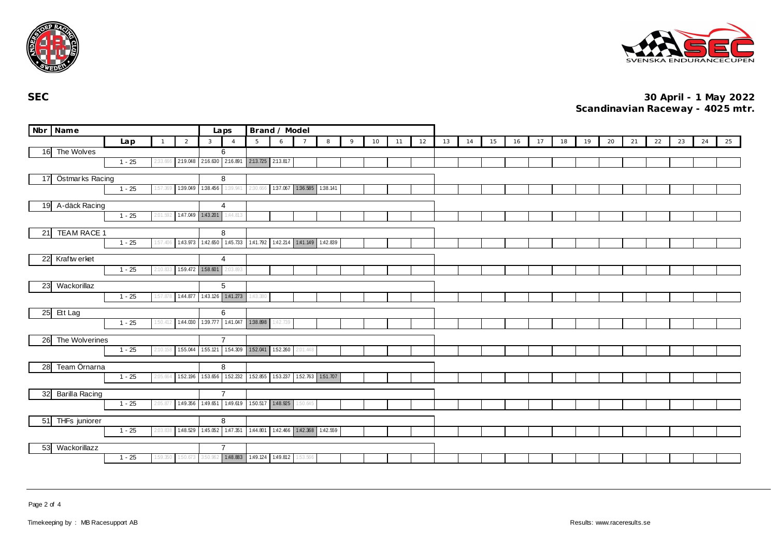



|                                  | Nbr Name           |          |  |                | Brand / Model<br>Laps |                              |                                              |                          |          |          |                                                         |   |    |    |    |    |    |    |    |    |    |    |    |    |    |    |    |    |
|----------------------------------|--------------------|----------|--|----------------|-----------------------|------------------------------|----------------------------------------------|--------------------------|----------|----------|---------------------------------------------------------|---|----|----|----|----|----|----|----|----|----|----|----|----|----|----|----|----|
|                                  |                    | Lap      |  | $\overline{1}$ | $\overline{2}$        | 3                            | $\overline{4}$                               | 5                        | 6        |          | 8                                                       | 9 | 10 | 11 | 12 | 13 | 14 | 15 | 16 | 17 | 18 | 19 | 20 | 21 | 22 | 23 | 24 | 25 |
|                                  | 16 The Wolves      |          |  |                |                       |                              | 6                                            |                          |          |          |                                                         |   |    |    |    |    |    |    |    |    |    |    |    |    |    |    |    |    |
|                                  |                    | $1 - 25$ |  | !:33.666       |                       |                              | 2:19.048 2:16.630 2:16.891 2:13.725 2:13.817 |                          |          |          |                                                         |   |    |    |    |    |    |    |    |    |    |    |    |    |    |    |    |    |
| Östmarks Racing<br>17            |                    |          |  |                |                       |                              | 8                                            |                          |          |          |                                                         |   |    |    |    |    |    |    |    |    |    |    |    |    |    |    |    |    |
| $1 - 25$<br>1:39.049<br>1:57.369 |                    |          |  |                |                       | 138.456                      | 1:39.941                                     | 2:30.666                 |          |          | 137.067 136.585 138.141                                 |   |    |    |    |    |    |    |    |    |    |    |    |    |    |    |    |    |
|                                  |                    |          |  |                |                       |                              |                                              |                          |          |          |                                                         |   |    |    |    |    |    |    |    |    |    |    |    |    |    |    |    |    |
| A-däck Racing<br>19              |                    |          |  |                |                       |                              | 4                                            |                          |          |          |                                                         |   |    |    |    |    |    |    |    |    |    |    |    |    |    |    |    |    |
|                                  |                    | $1 - 25$ |  | 2:01.592       |                       | 1:47.049 1:43.201            | 1:44.813                                     |                          |          |          |                                                         |   |    |    |    |    |    |    |    |    |    |    |    |    |    |    |    |    |
| 21                               | <b>TEAM RACE 1</b> |          |  |                |                       |                              | 8                                            |                          |          |          |                                                         |   |    |    |    |    |    |    |    |    |    |    |    |    |    |    |    |    |
|                                  |                    | $1 - 25$ |  | 57.406         |                       |                              |                                              |                          |          |          | 143.973 142.650 145.733 141.792 142.214 141.149 142.839 |   |    |    |    |    |    |    |    |    |    |    |    |    |    |    |    |    |
|                                  |                    |          |  |                |                       |                              |                                              |                          |          |          |                                                         |   |    |    |    |    |    |    |    |    |    |    |    |    |    |    |    |    |
| 22                               | Kraftw erket       |          |  |                |                       |                              | 4                                            |                          |          |          |                                                         |   |    |    |    |    |    |    |    |    |    |    |    |    |    |    |    |    |
|                                  |                    | $1 - 25$ |  | :10.833        | 1:59.472              | 158.601                      | 2:03.893                                     |                          |          |          |                                                         |   |    |    |    |    |    |    |    |    |    |    |    |    |    |    |    |    |
| 23                               | Wackorillaz        |          |  |                |                       |                              | 5                                            |                          |          |          |                                                         |   |    |    |    |    |    |    |    |    |    |    |    |    |    |    |    |    |
|                                  |                    | $1 - 25$ |  | 57.878         |                       |                              | 1.44.877  1.43.126  1.41.273                 | 1:43.380                 |          |          |                                                         |   |    |    |    |    |    |    |    |    |    |    |    |    |    |    |    |    |
|                                  |                    |          |  |                |                       |                              |                                              |                          |          |          |                                                         |   |    |    |    |    |    |    |    |    |    |    |    |    |    |    |    |    |
|                                  | 25 Ett Lag         |          |  |                |                       |                              | 6                                            |                          |          |          |                                                         |   |    |    |    |    |    |    |    |    |    |    |    |    |    |    |    |    |
|                                  |                    | $1 - 25$ |  | 1:50.412       | 1:44.030              | 139.777 1:41.047             |                                              | 1:38.898                 | 1:42.739 |          |                                                         |   |    |    |    |    |    |    |    |    |    |    |    |    |    |    |    |    |
| 26                               | The Wolverines     |          |  |                |                       |                              | $\overline{7}$                               |                          |          |          |                                                         |   |    |    |    |    |    |    |    |    |    |    |    |    |    |    |    |    |
|                                  |                    | $1 - 25$ |  | 2:10.158       | 1:55.044              | 155.121 154.309              |                                              | 152.041 152.260 2.01.448 |          |          |                                                         |   |    |    |    |    |    |    |    |    |    |    |    |    |    |    |    |    |
|                                  |                    |          |  |                |                       |                              |                                              |                          |          |          |                                                         |   |    |    |    |    |    |    |    |    |    |    |    |    |    |    |    |    |
| 28                               | Team Örnarna       |          |  |                | 152.196               | 153.656 152.232              | 8                                            | 152.855 153.237          |          |          | 152.763 151.707                                         |   |    |    |    |    |    |    |    |    |    |    |    |    |    |    |    |    |
|                                  |                    | $1 - 25$ |  | 2:05.664       |                       |                              |                                              |                          |          |          |                                                         |   |    |    |    |    |    |    |    |    |    |    |    |    |    |    |    |    |
| 32                               | Barilla Racing     |          |  |                |                       |                              | $\overline{7}$                               |                          |          |          |                                                         |   |    |    |    |    |    |    |    |    |    |    |    |    |    |    |    |    |
|                                  |                    | $1 - 25$ |  | 2:05.877       | 1:49.356              | 1:49.651 1:49.619            |                                              | 1.50.517 1.48.925        |          | 1:50.645 |                                                         |   |    |    |    |    |    |    |    |    |    |    |    |    |    |    |    |    |
|                                  |                    |          |  |                |                       |                              |                                              |                          |          |          |                                                         |   |    |    |    |    |    |    |    |    |    |    |    |    |    |    |    |    |
| 51                               | THFs juniorer      | $1 - 25$ |  | 2:03.838       |                       | 1.48.529  1.45.052  1.47.351 | 8                                            |                          |          |          | 1.44.801 1.42.466 1.42.368 1.42.559                     |   |    |    |    |    |    |    |    |    |    |    |    |    |    |    |    |    |
|                                  |                    |          |  |                |                       |                              |                                              |                          |          |          |                                                         |   |    |    |    |    |    |    |    |    |    |    |    |    |    |    |    |    |
| 53                               | Wackorillazz       |          |  |                |                       |                              | $\overline{7}$                               |                          |          |          |                                                         |   |    |    |    |    |    |    |    |    |    |    |    |    |    |    |    |    |
|                                  |                    | $1 - 25$ |  | 1:59.350       | 1:50.673              |                              | 3.50.962 1:48.883 1:49.124 1:49.812 1:53.566 |                          |          |          |                                                         |   |    |    |    |    |    |    |    |    |    |    |    |    |    |    |    |    |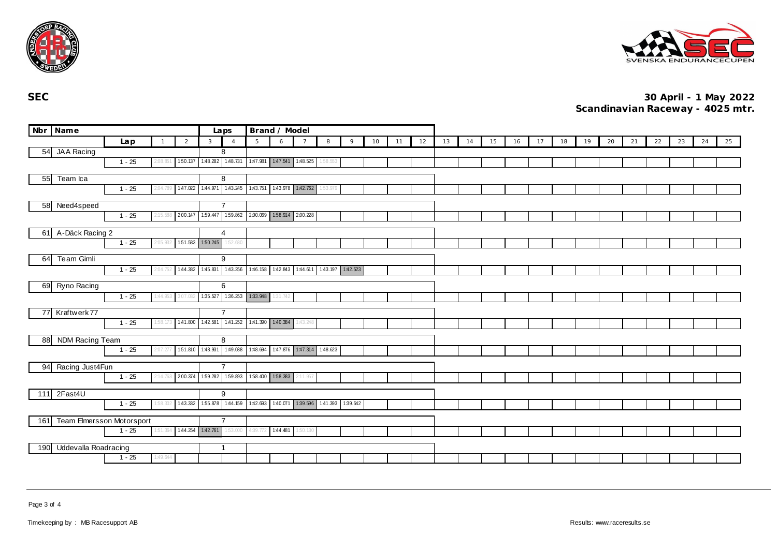



|     | Nbr Name                         |          |              |                | Brand / Model<br>Laps                                   |                                                                 |                              |          |                |                                         |   |    |    |    |    |    |    |    |    |    |    |    |    |    |    |    |    |
|-----|----------------------------------|----------|--------------|----------------|---------------------------------------------------------|-----------------------------------------------------------------|------------------------------|----------|----------------|-----------------------------------------|---|----|----|----|----|----|----|----|----|----|----|----|----|----|----|----|----|
|     |                                  | Lap      | $\mathbf{1}$ | $\overline{2}$ | 3                                                       | $\overline{4}$                                                  | 5                            | 6        | $\overline{7}$ | 8                                       | 9 | 10 | 11 | 12 | 13 | 14 | 15 | 16 | 17 | 18 | 19 | 20 | 21 | 22 | 23 | 24 | 25 |
|     | 54 JAA Racing                    |          |              |                |                                                         | 8                                                               |                              |          |                |                                         |   |    |    |    |    |    |    |    |    |    |    |    |    |    |    |    |    |
|     |                                  | $1 - 25$ | ' 08.85'     |                |                                                         | 150.137 1.48.282 1.48.731                                       | 1.47.981  1.47.541  1.48.525 |          |                | 1:58.553                                |   |    |    |    |    |    |    |    |    |    |    |    |    |    |    |    |    |
| 55  | Team Ica                         |          |              | 8              |                                                         |                                                                 |                              |          |                |                                         |   |    |    |    |    |    |    |    |    |    |    |    |    |    |    |    |    |
|     |                                  | $1 - 25$ |              |                | 147.022 144.971 143.245 143.751 143.978 142.762 153.979 |                                                                 |                              |          |                |                                         |   |    |    |    |    |    |    |    |    |    |    |    |    |    |    |    |    |
|     |                                  |          | 2:04.789     |                |                                                         |                                                                 |                              |          |                |                                         |   |    |    |    |    |    |    |    |    |    |    |    |    |    |    |    |    |
|     | 58 Need4speed                    |          |              |                |                                                         | $\overline{7}$                                                  |                              |          |                |                                         |   |    |    |    |    |    |    |    |    |    |    |    |    |    |    |    |    |
|     |                                  | $1 - 25$ | 2:15.588     |                |                                                         | 2.00.147 1.59.447 1.59.862 2.00.069 1.58.914 2.00.228           |                              |          |                |                                         |   |    |    |    |    |    |    |    |    |    |    |    |    |    |    |    |    |
|     | 61 A-Däck Racing 2               |          | 4            |                |                                                         |                                                                 |                              |          |                |                                         |   |    |    |    |    |    |    |    |    |    |    |    |    |    |    |    |    |
|     |                                  | $1 - 25$ | 2:05.932     |                |                                                         | 151.583 150.245 152.680                                         |                              |          |                |                                         |   |    |    |    |    |    |    |    |    |    |    |    |    |    |    |    |    |
|     |                                  |          |              |                |                                                         |                                                                 |                              |          |                |                                         |   |    |    |    |    |    |    |    |    |    |    |    |    |    |    |    |    |
| 64  | <b>Team Gimli</b>                |          |              |                |                                                         | 9                                                               |                              |          |                |                                         |   |    |    |    |    |    |    |    |    |    |    |    |    |    |    |    |    |
|     |                                  | $1 - 25$ | 2:04.752     |                |                                                         | 144.382 145.831 143.256 146.158 142.843 144.611 143.197 142.523 |                              |          |                |                                         |   |    |    |    |    |    |    |    |    |    |    |    |    |    |    |    |    |
|     | 69 Ryno Racing                   |          |              | 6              |                                                         |                                                                 |                              |          |                |                                         |   |    |    |    |    |    |    |    |    |    |    |    |    |    |    |    |    |
|     |                                  | $1 - 25$ | 1:44.953     | 3:07.032       |                                                         | 1:35.527  1:36.253  1:33.948                                    |                              | 1:31.742 |                |                                         |   |    |    |    |    |    |    |    |    |    |    |    |    |    |    |    |    |
|     |                                  |          |              |                |                                                         |                                                                 |                              |          |                |                                         |   |    |    |    |    |    |    |    |    |    |    |    |    |    |    |    |    |
|     | 77 Kraftwerk 77                  |          |              |                |                                                         | $\overline{7}$                                                  |                              |          |                |                                         |   |    |    |    |    |    |    |    |    |    |    |    |    |    |    |    |    |
|     |                                  | $1 - 25$ | 1:58.173     |                |                                                         | 141.800 142.581 141.252 141.390 140.384                         |                              |          | 1:43.248       |                                         |   |    |    |    |    |    |    |    |    |    |    |    |    |    |    |    |    |
| 88  | NDM Racing Team                  |          |              |                |                                                         | 8                                                               |                              |          |                |                                         |   |    |    |    |    |    |    |    |    |    |    |    |    |    |    |    |    |
|     |                                  | $1 - 25$ | 2:07.277     |                |                                                         | 151.810 1:48.931 1:49.038 1:48.694 1:47.876 1:47.314 1:48.623   |                              |          |                |                                         |   |    |    |    |    |    |    |    |    |    |    |    |    |    |    |    |    |
|     |                                  |          |              |                |                                                         |                                                                 |                              |          |                |                                         |   |    |    |    |    |    |    |    |    |    |    |    |    |    |    |    |    |
| 94  | Racing Just4Fun                  |          |              |                |                                                         | $\overline{7}$                                                  |                              |          |                |                                         |   |    |    |    |    |    |    |    |    |    |    |    |    |    |    |    |    |
|     |                                  | $1 - 25$ | 2:14.763     |                |                                                         | 2.00.374 1.59.282 1.59.893 1.58.400 1.58.383 2.11.957           |                              |          |                |                                         |   |    |    |    |    |    |    |    |    |    |    |    |    |    |    |    |    |
| 111 | 2Fast4U                          |          |              | 9              |                                                         |                                                                 |                              |          |                |                                         |   |    |    |    |    |    |    |    |    |    |    |    |    |    |    |    |    |
|     |                                  | $1 - 25$ | 1:58.302     |                |                                                         | 1.43.332 1.55.878 1.44.159                                      |                              |          |                | 142.693 140.071 139.596 141.393 139.642 |   |    |    |    |    |    |    |    |    |    |    |    |    |    |    |    |    |
|     |                                  |          |              |                |                                                         |                                                                 |                              |          |                |                                         |   |    |    |    |    |    |    |    |    |    |    |    |    |    |    |    |    |
| 161 | <b>Team Elmersson Motorsport</b> |          |              |                |                                                         | $\overline{7}$                                                  |                              |          |                |                                         |   |    |    |    |    |    |    |    |    |    |    |    |    |    |    |    |    |
|     |                                  | $1 - 25$ | 1:51.364     |                |                                                         | 144.254 142.761 153.000                                         | 4:39.772                     | 1:44.481 | 1:50.130       |                                         |   |    |    |    |    |    |    |    |    |    |    |    |    |    |    |    |    |
| 190 | Uddevalla Roadracing             |          |              |                |                                                         | $\overline{1}$                                                  |                              |          |                |                                         |   |    |    |    |    |    |    |    |    |    |    |    |    |    |    |    |    |
|     |                                  | $1 - 25$ | 1:49.644     |                |                                                         |                                                                 |                              |          |                |                                         |   |    |    |    |    |    |    |    |    |    |    |    |    |    |    |    |    |